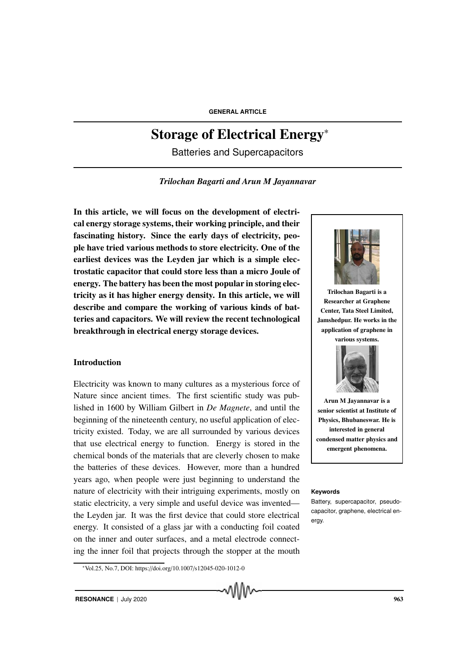# Storage of Electrical Energy<sup>∗</sup>

Batteries and Supercapacitors

*Trilochan Bagarti and Arun M Jayannavar*

In this article, we will focus on the development of electrical energy storage systems, their working principle, and their fascinating history. Since the early days of electricity, people have tried various methods to store electricity. One of the earliest devices was the Leyden jar which is a simple electrostatic capacitor that could store less than a micro Joule of energy. The battery has been the most popular in storing electricity as it has higher energy density. In this article, we will describe and compare the working of various kinds of batteries and capacitors. We will review the recent technological breakthrough in electrical energy storage devices.

# Introduction

Electricity was known to many cultures as a mysterious force of Nature since ancient times. The first scientific study was published in 1600 by William Gilbert in *De Magnete*, and until the beginning of the nineteenth century, no useful application of electricity existed. Today, we are all surrounded by various devices that use electrical energy to function. Energy is stored in the chemical bonds of the materials that are cleverly chosen to make the batteries of these devices. However, more than a hundred years ago, when people were just beginning to understand the nature of electricity with their intriguing experiments, mostly on **Keywords** static electricity, a very simple and useful device was invented the Leyden jar. It was the first device that could store electrical energy. It consisted of a glass jar with a conducting foil coated on the inner and outer surfaces, and a metal electrode connecting the inner foil that projects through the stopper at the mouth

ለበበሌ



Trilochan Bagarti is a Researcher at Graphene Center, Tata Steel Limited, Jamshedpur. He works in the application of graphene in various systems.



Arun M Jayannavar is a senior scientist at Institute of Physics, Bhubaneswar. He is interested in general condensed matter physics and emergent phenomena.

<sup>∗</sup>Vol.25, No.7, DOI: https://doi.org/10.1007/s12045-020-1012-0

Battery, supercapacitor, pseudocapacitor, graphene, electrical energy.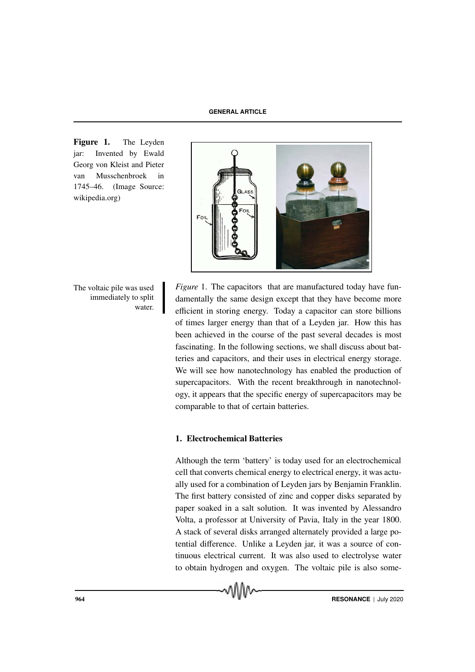Figure 1. The Leyden jar: Invented by Ewald Georg von Kleist and Pieter van Musschenbroek in 1745–46. (Image Source: wikipedia.org)

immediately to split water.

The voltaic pile was used *Figure* 1. The capacitors that are manufactured today have fundamentally the same design except that they have become more efficient in storing energy. Today a capacitor can store billions of times larger energy than that of a Leyden jar. How this has been achieved in the course of the past several decades is most fascinating. In the following sections, we shall discuss about batteries and capacitors, and their uses in electrical energy storage. We will see how nanotechnology has enabled the production of supercapacitors. With the recent breakthrough in nanotechnology, it appears that the specific energy of supercapacitors may be comparable to that of certain batteries.

#### 1. Electrochemical Batteries

Although the term 'battery' is today used for an electrochemical cell that converts chemical energy to electrical energy, it was actually used for a combination of Leyden jars by Benjamin Franklin. The first battery consisted of zinc and copper disks separated by paper soaked in a salt solution. It was invented by Alessandro Volta, a professor at University of Pavia, Italy in the year 1800. A stack of several disks arranged alternately provided a large potential difference. Unlike a Leyden jar, it was a source of continuous electrical current. It was also used to electrolyse water to obtain hydrogen and oxygen. The voltaic pile is also some-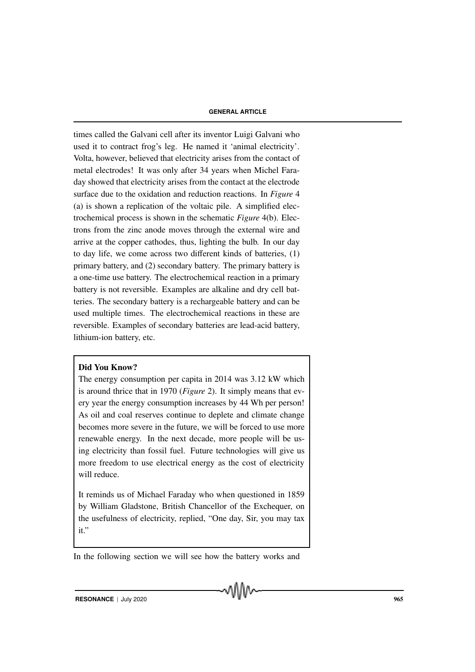times called the Galvani cell after its inventor Luigi Galvani who used it to contract frog's leg. He named it 'animal electricity'. Volta, however, believed that electricity arises from the contact of metal electrodes! It was only after 34 years when Michel Faraday showed that electricity arises from the contact at the electrode surface due to the oxidation and reduction reactions. In *Figure* 4 (a) is shown a replication of the voltaic pile. A simplified electrochemical process is shown in the schematic *Figure* 4(b). Electrons from the zinc anode moves through the external wire and arrive at the copper cathodes, thus, lighting the bulb. In our day to day life, we come across two different kinds of batteries, (1) primary battery, and (2) secondary battery. The primary battery is a one-time use battery. The electrochemical reaction in a primary battery is not reversible. Examples are alkaline and dry cell batteries. The secondary battery is a rechargeable battery and can be used multiple times. The electrochemical reactions in these are reversible. Examples of secondary batteries are lead-acid battery, lithium-ion battery, etc.

# Did You Know?

The energy consumption per capita in 2014 was 3.12 kW which is around thrice that in 1970 (*Figure* 2). It simply means that every year the energy consumption increases by 44 Wh per person! As oil and coal reserves continue to deplete and climate change becomes more severe in the future, we will be forced to use more renewable energy. In the next decade, more people will be using electricity than fossil fuel. Future technologies will give us more freedom to use electrical energy as the cost of electricity will reduce.

It reminds us of Michael Faraday who when questioned in 1859 by William Gladstone, British Chancellor of the Exchequer, on the usefulness of electricity, replied, "One day, Sir, you may tax it."

In the following section we will see how the battery works and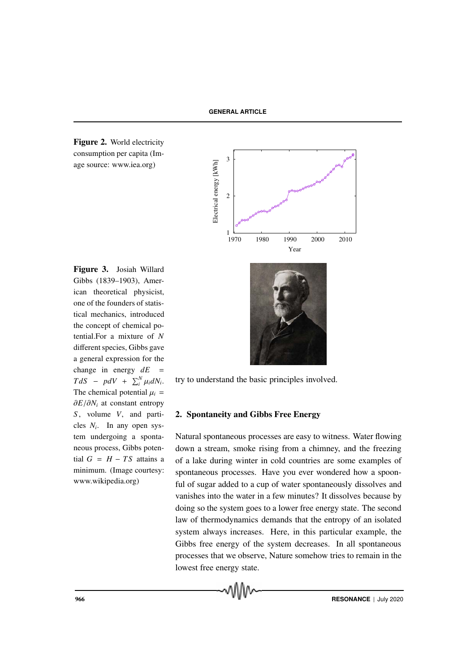



Figure 3. Josiah Willard Gibbs (1839–1903), American theoretical physicist, one of the founders of statistical mechanics, introduced the concept of chemical potential.For a mixture of *N* different species, Gibbs gave a general expression for the change in energy  $dE =$  $TdS - pdV + \sum_{i}^{N} \mu_{i} dN_{i}.$ The chemical potential  $\mu_i$  = ∂*E*/∂*N<sup>i</sup>* at constant entropy *S* , volume *V*, and particles *N<sup>i</sup>* . In any open system undergoing a spontaneous process, Gibbs potential  $G = H - TS$  attains a minimum. (Image courtesy: www.wikipedia.org)



try to understand the basic principles involved.

# 2. Spontaneity and Gibbs Free Energy

Natural spontaneous processes are easy to witness. Water flowing down a stream, smoke rising from a chimney, and the freezing of a lake during winter in cold countries are some examples of spontaneous processes. Have you ever wondered how a spoonful of sugar added to a cup of water spontaneously dissolves and vanishes into the water in a few minutes? It dissolves because by doing so the system goes to a lower free energy state. The second law of thermodynamics demands that the entropy of an isolated system always increases. Here, in this particular example, the Gibbs free energy of the system decreases. In all spontaneous processes that we observe, Nature somehow tries to remain in the lowest free energy state.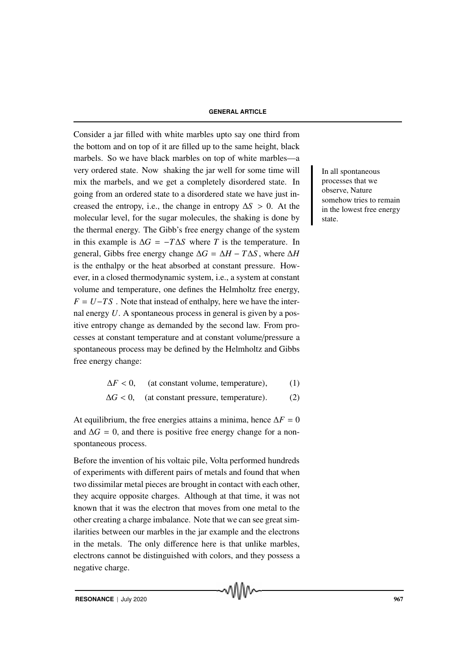Consider a jar filled with white marbles upto say one third from the bottom and on top of it are filled up to the same height, black marbels. So we have black marbles on top of white marbles—a very ordered state. Now shaking the jar well for some time will In all spontaneous mix the marbels, and we get a completely disordered state. In going from an ordered state to a disordered state we have just increased the entropy, i.e., the change in entropy  $\Delta S > 0$ . At the molecular level, for the sugar molecules, the shaking is done by the thermal energy. The Gibb's free energy change of the system in this example is ∆*G* = −*T*∆*S* where *T* is the temperature. In general, Gibbs free energy change  $\Delta G = \Delta H - T \Delta S$ , where  $\Delta H$ is the enthalpy or the heat absorbed at constant pressure. However, in a closed thermodynamic system, i.e., a system at constant volume and temperature, one defines the Helmholtz free energy,  $F = U - TS$ . Note that instead of enthalpy, here we have the internal energy *U*. A spontaneous process in general is given by a positive entropy change as demanded by the second law. From processes at constant temperature and at constant volume/pressure a spontaneous process may be defined by the Helmholtz and Gibbs free energy change:

$$
\Delta F < 0, \quad \text{(at constant volume, temperature)}, \tag{1}
$$

$$
\Delta G < 0, \quad \text{(at constant pressure, temperature).} \tag{2}
$$

At equilibrium, the free energies attains a minima, hence  $\Delta F = 0$ and  $\Delta G = 0$ , and there is positive free energy change for a nonspontaneous process.

Before the invention of his voltaic pile, Volta performed hundreds of experiments with different pairs of metals and found that when two dissimilar metal pieces are brought in contact with each other, they acquire opposite charges. Although at that time, it was not known that it was the electron that moves from one metal to the other creating a charge imbalance. Note that we can see great similarities between our marbles in the jar example and the electrons in the metals. The only difference here is that unlike marbles, electrons cannot be distinguished with colors, and they possess a negative charge.

processes that we observe, Nature somehow tries to remain in the lowest free energy state.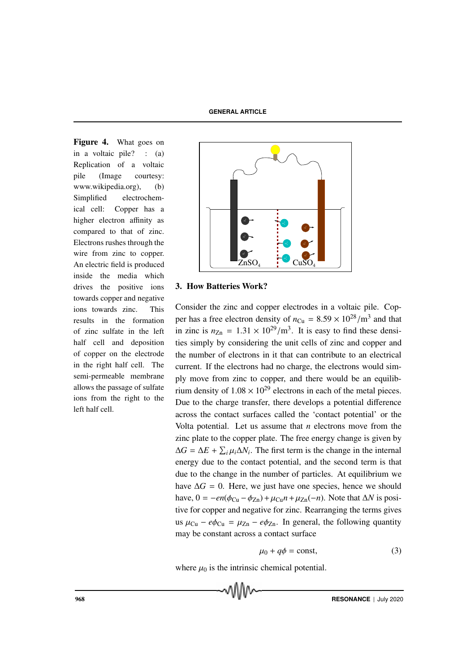Figure 4. What goes on in a voltaic pile? : (a) Replication of a voltaic pile (Image courtesy: www.wikipedia.org), (b) Simplified electrochemical cell: Copper has a higher electron affinity as compared to that of zinc. Electrons rushes through the wire from zinc to copper. An electric field is produced inside the media which drives the positive ions towards copper and negative ions towards zinc. This results in the formation of zinc sulfate in the left half cell and deposition of copper on the electrode in the right half cell. The semi-permeable membrane allows the passage of sulfate ions from the right to the left half cell.



# 3. How Batteries Work?

Consider the zinc and copper electrodes in a voltaic pile. Copper has a free electron density of  $n_{Cu} = 8.59 \times 10^{28}/\text{m}^3$  and that in zinc is  $n_{\text{Zn}} = 1.31 \times 10^{29} / \text{m}^3$ . It is easy to find these densities simply by considering the unit cells of zinc and copper and the number of electrons in it that can contribute to an electrical current. If the electrons had no charge, the electrons would simply move from zinc to copper, and there would be an equilibrium density of  $1.08 \times 10^{29}$  electrons in each of the metal pieces. Due to the charge transfer, there develops a potential difference across the contact surfaces called the 'contact potential' or the Volta potential. Let us assume that *n* electrons move from the zinc plate to the copper plate. The free energy change is given by  $\Delta G = \Delta E + \sum_i \mu_i \Delta N_i$ . The first term is the change in the internal energy due to the contact potential, and the second term is that due to the change in the number of particles. At equilibrium we have  $\Delta G = 0$ . Here, we just have one species, hence we should have,  $0 = -en(\phi_{Cu} - \phi_{Zn}) + \mu_{Cu}n + \mu_{Zn}(-n)$ . Note that  $\Delta N$  is positive for copper and negative for zinc. Rearranging the terms gives us  $\mu_{Cu} - e\phi_{Cu} = \mu_{Zn} - e\phi_{Zn}$ . In general, the following quantity may be constant across a contact surface

$$
\mu_0 + q\phi = \text{const},\tag{3}
$$

where  $\mu_0$  is the intrinsic chemical potential.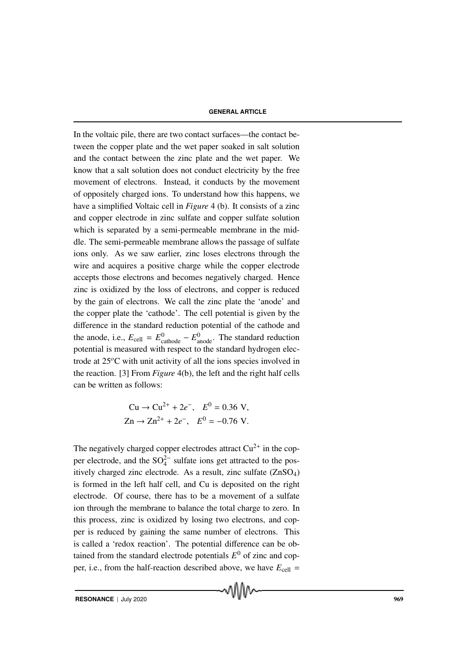In the voltaic pile, there are two contact surfaces—the contact between the copper plate and the wet paper soaked in salt solution and the contact between the zinc plate and the wet paper. We know that a salt solution does not conduct electricity by the free movement of electrons. Instead, it conducts by the movement of oppositely charged ions. To understand how this happens, we have a simplified Voltaic cell in *Figure* 4 (b). It consists of a zinc and copper electrode in zinc sulfate and copper sulfate solution which is separated by a semi-permeable membrane in the middle. The semi-permeable membrane allows the passage of sulfate ions only. As we saw earlier, zinc loses electrons through the wire and acquires a positive charge while the copper electrode accepts those electrons and becomes negatively charged. Hence zinc is oxidized by the loss of electrons, and copper is reduced by the gain of electrons. We call the zinc plate the 'anode' and the copper plate the 'cathode'. The cell potential is given by the difference in the standard reduction potential of the cathode and the anode, i.e.,  $E_{cell} = E_{\text{cathode}}^0 - E_{\text{anode}}^0$ . The standard reduction potential is measured with respect to the standard hydrogen electrode at 25*o*C with unit activity of all the ions species involved in the reaction. [3] From *Figure* 4(b), the left and the right half cells can be written as follows:

$$
\text{Cu} \to \text{Cu}^{2+} + 2e^-, \quad E^0 = 0.36 \text{ V},
$$
\n
$$
\text{Zn} \to \text{Zn}^{2+} + 2e^-, \quad E^0 = -0.76 \text{ V}.
$$

The negatively charged copper electrodes attract  $Cu^{2+}$  in the copper electrode, and the  $SO_4^{2-}$  sulfate ions get attracted to the positively charged zinc electrode. As a result, zinc sulfate (ZnSO4) is formed in the left half cell, and Cu is deposited on the right electrode. Of course, there has to be a movement of a sulfate ion through the membrane to balance the total charge to zero. In this process, zinc is oxidized by losing two electrons, and copper is reduced by gaining the same number of electrons. This is called a 'redox reaction'. The potential difference can be obtained from the standard electrode potentials  $E^0$  of zinc and copper, i.e., from the half-reaction described above, we have  $E_{cell}$  =

MMW

**RESONANCE** | July 2020 969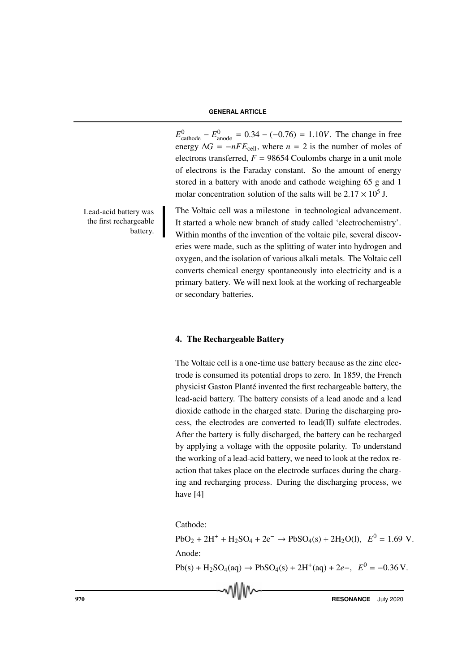$E_{\text{cathode}}^{0} - E_{\text{anode}}^{0} = 0.34 - (-0.76) = 1.10V$ . The change in free energy  $\Delta G = -nFE_{cell}$ , where *n* = 2 is the number of moles of electrons transferred,  $F = 98654$  Coulombs charge in a unit mole of electrons is the Faraday constant. So the amount of energy stored in a battery with anode and cathode weighing 65 g and 1 molar concentration solution of the salts will be  $2.17 \times 10^5$  J.

the first rechargeable battery.

Lead-acid battery was The Voltaic cell was a milestone in technological advancement. It started a whole new branch of study called 'electrochemistry'. Within months of the invention of the voltaic pile, several discoveries were made, such as the splitting of water into hydrogen and oxygen, and the isolation of various alkali metals. The Voltaic cell converts chemical energy spontaneously into electricity and is a primary battery. We will next look at the working of rechargeable or secondary batteries.

# 4. The Rechargeable Battery

The Voltaic cell is a one-time use battery because as the zinc electrode is consumed its potential drops to zero. In 1859, the French physicist Gaston Planté invented the first rechargeable battery, the lead-acid battery. The battery consists of a lead anode and a lead dioxide cathode in the charged state. During the discharging process, the electrodes are converted to lead(II) sulfate electrodes. After the battery is fully discharged, the battery can be recharged by applying a voltage with the opposite polarity. To understand the working of a lead-acid battery, we need to look at the redox reaction that takes place on the electrode surfaces during the charging and recharging process. During the discharging process, we have [4]

Cathode:

 $PbO_2 + 2H^+ + H_2SO_4 + 2e^- \rightarrow PbSO_4(s) + 2H_2O(l), E^0 = 1.69$  V. Anode:

 $Pb(s) + H_2SO_4(aq) \rightarrow PbSO_4(s) + 2H^+(aq) + 2e^-, E^0 = -0.36 \text{ V}.$ 

**Proposed and Contract Contract Contract Contract Contract Contract Contract Contract Contract Contract Contract Contract Contract Contract Contract Contract Contract Contract Contract Contract Contract Contract Contract C**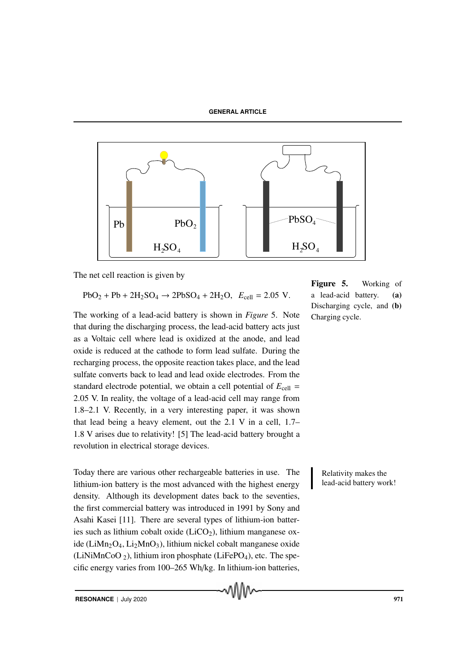

The net cell reaction is given by

$$
PbO_2 + Pb + 2H_2SO_4 \to 2PbSO_4 + 2H_2O, \ E_{cell} = 2.05 \ V.
$$

The working of a lead-acid battery is shown in *Figure* 5. Note that during the discharging process, the lead-acid battery acts just as a Voltaic cell where lead is oxidized at the anode, and lead oxide is reduced at the cathode to form lead sulfate. During the recharging process, the opposite reaction takes place, and the lead sulfate converts back to lead and lead oxide electrodes. From the standard electrode potential, we obtain a cell potential of  $E_{cell}$  = 2.05 V. In reality, the voltage of a lead-acid cell may range from 1.8–2.1 V. Recently, in a very interesting paper, it was shown that lead being a heavy element, out the 2.1 V in a cell, 1.7– 1.8 V arises due to relativity! [5] The lead-acid battery brought a revolution in electrical storage devices.

Today there are various other rechargeable batteries in use. The Relativity makes the lithium-ion battery is the most advanced with the highest energy density. Although its development dates back to the seventies, the first commercial battery was introduced in 1991 by Sony and Asahi Kasei [11]. There are several types of lithium-ion batteries such as lithium cobalt oxide  $(LiCO<sub>2</sub>)$ , lithium manganese oxide (LiMn<sub>2</sub>O<sub>4</sub>, Li<sub>2</sub>MnO<sub>3</sub>), lithium nickel cobalt manganese oxide (LiNiMnCoO  $_2$ ), lithium iron phosphate (LiFePO<sub>4</sub>), etc. The specific energy varies from 100–265 Wh/kg. In lithium-ion batteries,

Figure 5. Working of a lead-acid battery. (a) Discharging cycle, and (b) Charging cycle.

lead-acid battery work!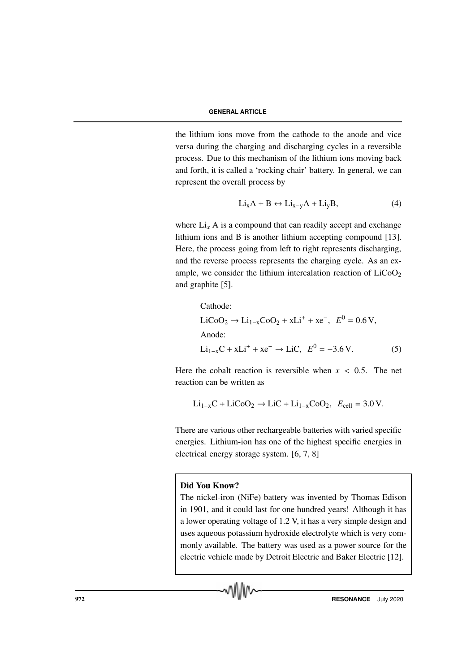the lithium ions move from the cathode to the anode and vice versa during the charging and discharging cycles in a reversible process. Due to this mechanism of the lithium ions moving back and forth, it is called a 'rocking chair' battery. In general, we can represent the overall process by

$$
Li_xA + B \leftrightarrow Li_{x-y}A + Li_yB,
$$
 (4)

where  $Li_x$  A is a compound that can readily accept and exchange lithium ions and B is another lithium accepting compound [13]. Here, the process going from left to right represents discharging, and the reverse process represents the charging cycle. As an example, we consider the lithium intercalation reaction of  $LiCoO<sub>2</sub>$ and graphite [5].

Cathode:  
\n
$$
\text{LiCoO}_2 \rightarrow \text{Li}_{1-x}\text{CoO}_2 + x\text{Li}^+ + x\text{e}^-, \quad E^0 = 0.6 \text{ V},
$$
\n
$$
\text{Anode:}
$$
\n
$$
\text{Li}_{1-x}\text{C} + x\text{Li}^+ + x\text{e}^- \rightarrow \text{LiC}, \quad E^0 = -3.6 \text{ V}.
$$
\n(5)

Here the cobalt reaction is reversible when  $x < 0.5$ . The net reaction can be written as

$$
\text{Li}_{1-x}\text{C} + \text{LiCoO}_2 \rightarrow \text{LiC} + \text{Li}_{1-x}\text{CoO}_2, \ \ E_{cell} = 3.0 \text{ V}.
$$

There are various other rechargeable batteries with varied specific energies. Lithium-ion has one of the highest specific energies in electrical energy storage system. [6, 7, 8]

# Did You Know?

The nickel-iron (NiFe) battery was invented by Thomas Edison in 1901, and it could last for one hundred years! Although it has a lower operating voltage of 1.2 V, it has a very simple design and uses aqueous potassium hydroxide electrolyte which is very commonly available. The battery was used as a power source for the electric vehicle made by Detroit Electric and Baker Electric [12].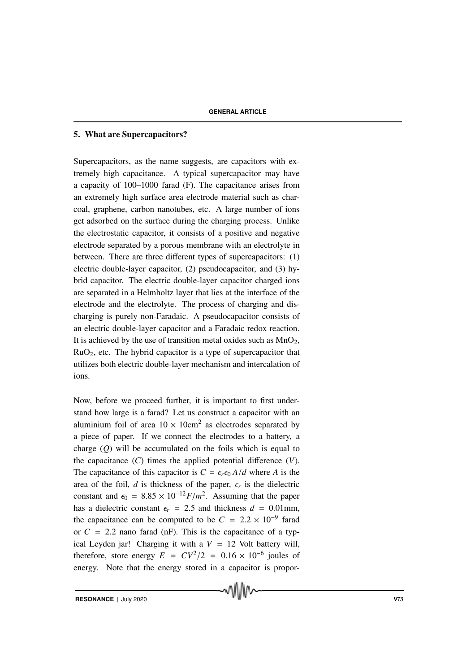# 5. What are Supercapacitors?

Supercapacitors, as the name suggests, are capacitors with extremely high capacitance. A typical supercapacitor may have a capacity of 100–1000 farad (F). The capacitance arises from an extremely high surface area electrode material such as charcoal, graphene, carbon nanotubes, etc. A large number of ions get adsorbed on the surface during the charging process. Unlike the electrostatic capacitor, it consists of a positive and negative electrode separated by a porous membrane with an electrolyte in between. There are three different types of supercapacitors: (1) electric double-layer capacitor, (2) pseudocapacitor, and (3) hybrid capacitor. The electric double-layer capacitor charged ions are separated in a Helmholtz layer that lies at the interface of the electrode and the electrolyte. The process of charging and discharging is purely non-Faradaic. A pseudocapacitor consists of an electric double-layer capacitor and a Faradaic redox reaction. It is achieved by the use of transition metal oxides such as  $MnO<sub>2</sub>$ , RuO2, etc. The hybrid capacitor is a type of supercapacitor that utilizes both electric double-layer mechanism and intercalation of ions.

Now, before we proceed further, it is important to first understand how large is a farad? Let us construct a capacitor with an aluminium foil of area  $10 \times 10 \text{cm}^2$  as electrodes separated by a piece of paper. If we connect the electrodes to a battery, a charge (*Q*) will be accumulated on the foils which is equal to the capacitance (*C*) times the applied potential difference (*V*). The capacitance of this capacitor is  $C = \epsilon_r \epsilon_0 A/d$  where *A* is the area of the foil,  $d$  is thickness of the paper,  $\epsilon_r$  is the dielectric constant and  $\epsilon_0 = 8.85 \times 10^{-12} F/m^2$ . Assuming that the paper has a dielectric constant  $\epsilon_r$  = 2.5 and thickness  $d = 0.01$  mm, the capacitance can be computed to be  $C = 2.2 \times 10^{-9}$  farad or  $C = 2.2$  nano farad (nF). This is the capacitance of a typical Leyden jar! Charging it with a  $V = 12$  Volt battery will, therefore, store energy  $E = CV^2/2 = 0.16 \times 10^{-6}$  joules of energy. Note that the energy stored in a capacitor is propor-

MM∿

**RESONANCE** | July 2020 973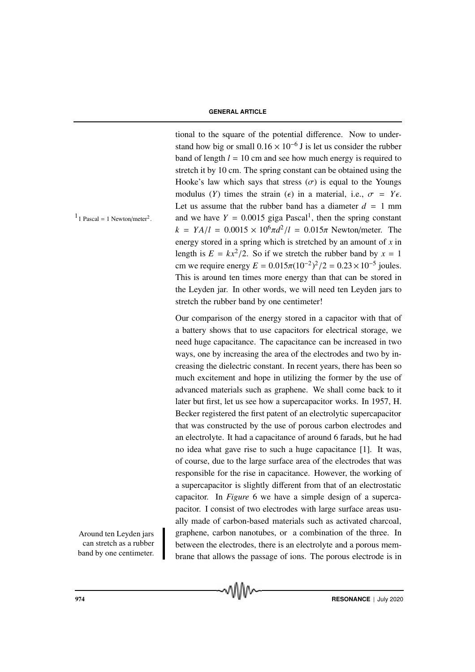tional to the square of the potential difference. Now to understand how big or small  $0.16 \times 10^{-6}$  J is let us consider the rubber band of length  $l = 10$  cm and see how much energy is required to stretch it by 10 cm. The spring constant can be obtained using the Hooke's law which says that stress  $(\sigma)$  is equal to the Youngs modulus (*Y*) times the strain ( $\epsilon$ ) in a material, i.e.,  $\sigma = Y_{\epsilon}$ . Let us assume that the rubber band has a diameter  $d = 1$  mm <sup>1</sup> I Pascal = 1 Newton/meter<sup>2</sup>. and we have  $Y = 0.0015$  giga Pascal<sup>1</sup>, then the spring constant  $k = YA/l = 0.0015 \times 10^{6} \pi d^{2}/l = 0.015\pi$  Newton/meter. The energy stored in a spring which is stretched by an amount of *x* in length is  $E = kx^2/2$ . So if we stretch the rubber band by  $x = 1$ cm we require energy  $E = 0.015\pi (10^{-2})^2 / 2 = 0.23 \times 10^{-5}$  joules. This is around ten times more energy than that can be stored in the Leyden jar. In other words, we will need ten Leyden jars to stretch the rubber band by one centimeter!

Our comparison of the energy stored in a capacitor with that of a battery shows that to use capacitors for electrical storage, we need huge capacitance. The capacitance can be increased in two ways, one by increasing the area of the electrodes and two by increasing the dielectric constant. In recent years, there has been so much excitement and hope in utilizing the former by the use of advanced materials such as graphene. We shall come back to it later but first, let us see how a supercapacitor works. In 1957, H. Becker registered the first patent of an electrolytic supercapacitor that was constructed by the use of porous carbon electrodes and an electrolyte. It had a capacitance of around 6 farads, but he had no idea what gave rise to such a huge capacitance [1]. It was, of course, due to the large surface area of the electrodes that was responsible for the rise in capacitance. However, the working of a supercapacitor is slightly different from that of an electrostatic capacitor. In *Figure* 6 we have a simple design of a supercapacitor. I consist of two electrodes with large surface areas usually made of carbon-based materials such as activated charcoal, Around ten Leyden jars graphene, carbon nanotubes, or a combination of the three. In between the electrodes, there is an electrolyte and a porous membrane that allows the passage of ions. The porous electrode is in

 $1$  Pascal = 1 Newton/meter<sup>2</sup>.

can stretch as a rubber band by one centimeter.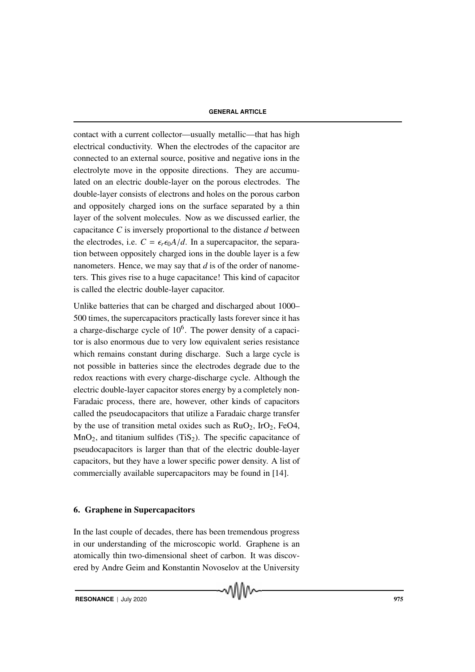contact with a current collector—usually metallic—that has high electrical conductivity. When the electrodes of the capacitor are connected to an external source, positive and negative ions in the electrolyte move in the opposite directions. They are accumulated on an electric double-layer on the porous electrodes. The double-layer consists of electrons and holes on the porous carbon and oppositely charged ions on the surface separated by a thin layer of the solvent molecules. Now as we discussed earlier, the capacitance *C* is inversely proportional to the distance *d* between the electrodes, i.e.  $C = \epsilon_r \epsilon_0 A/d$ . In a supercapacitor, the separation between oppositely charged ions in the double layer is a few nanometers. Hence, we may say that *d* is of the order of nanometers. This gives rise to a huge capacitance! This kind of capacitor is called the electric double-layer capacitor.

Unlike batteries that can be charged and discharged about 1000– 500 times, the supercapacitors practically lasts forever since it has a charge-discharge cycle of  $10<sup>6</sup>$ . The power density of a capacitor is also enormous due to very low equivalent series resistance which remains constant during discharge. Such a large cycle is not possible in batteries since the electrodes degrade due to the redox reactions with every charge-discharge cycle. Although the electric double-layer capacitor stores energy by a completely non-Faradaic process, there are, however, other kinds of capacitors called the pseudocapacitors that utilize a Faradaic charge transfer by the use of transition metal oxides such as  $RuO<sub>2</sub>$ ,  $IrO<sub>2</sub>$ ,  $FeO<sub>4</sub>$ ,  $MnO<sub>2</sub>$ , and titanium sulfides (TiS<sub>2</sub>). The specific capacitance of pseudocapacitors is larger than that of the electric double-layer capacitors, but they have a lower specific power density. A list of commercially available supercapacitors may be found in [14].

# 6. Graphene in Supercapacitors

In the last couple of decades, there has been tremendous progress in our understanding of the microscopic world. Graphene is an atomically thin two-dimensional sheet of carbon. It was discovered by Andre Geim and Konstantin Novoselov at the University

MMW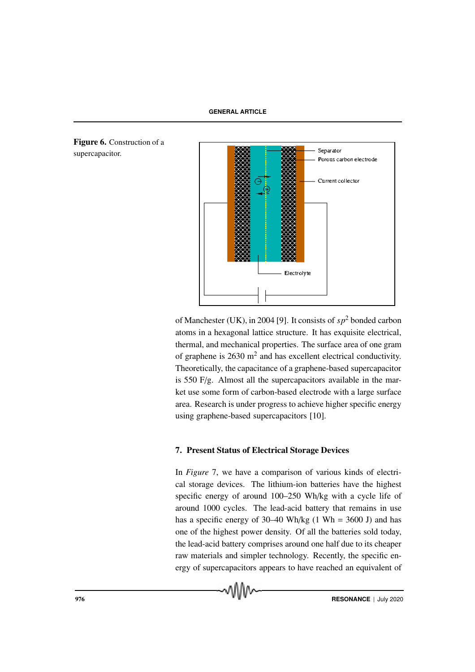**GENERAL ARTICLE**



of Manchester (UK), in 2004 [9]. It consists of *sp*<sup>2</sup> bonded carbon atoms in a hexagonal lattice structure. It has exquisite electrical, thermal, and mechanical properties. The surface area of one gram of graphene is  $2630 \text{ m}^2$  and has excellent electrical conductivity. Theoretically, the capacitance of a graphene-based supercapacitor is 550 F/g. Almost all the supercapacitors available in the market use some form of carbon-based electrode with a large surface area. Research is under progress to achieve higher specific energy using graphene-based supercapacitors [10].

# 7. Present Status of Electrical Storage Devices

In *Figure* 7, we have a comparison of various kinds of electrical storage devices. The lithium-ion batteries have the highest specific energy of around 100–250 Wh/kg with a cycle life of around 1000 cycles. The lead-acid battery that remains in use has a specific energy of  $30-40$  Wh/kg (1 Wh =  $3600$  J) and has one of the highest power density. Of all the batteries sold today, the lead-acid battery comprises around one half due to its cheaper raw materials and simpler technology. Recently, the specific energy of supercapacitors appears to have reached an equivalent of

Figure 6. Construction of a supercapacitor.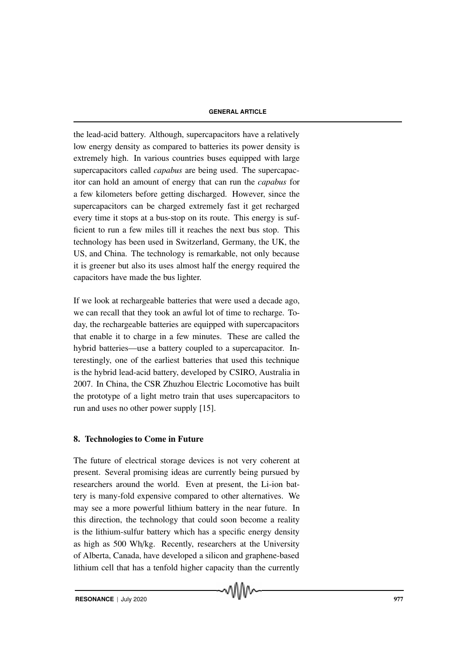the lead-acid battery. Although, supercapacitors have a relatively low energy density as compared to batteries its power density is extremely high. In various countries buses equipped with large supercapacitors called *capabus* are being used. The supercapacitor can hold an amount of energy that can run the *capabus* for a few kilometers before getting discharged. However, since the supercapacitors can be charged extremely fast it get recharged every time it stops at a bus-stop on its route. This energy is sufficient to run a few miles till it reaches the next bus stop. This technology has been used in Switzerland, Germany, the UK, the US, and China. The technology is remarkable, not only because it is greener but also its uses almost half the energy required the capacitors have made the bus lighter.

If we look at rechargeable batteries that were used a decade ago, we can recall that they took an awful lot of time to recharge. Today, the rechargeable batteries are equipped with supercapacitors that enable it to charge in a few minutes. These are called the hybrid batteries—use a battery coupled to a supercapacitor. Interestingly, one of the earliest batteries that used this technique is the hybrid lead-acid battery, developed by CSIRO, Australia in 2007. In China, the CSR Zhuzhou Electric Locomotive has built the prototype of a light metro train that uses supercapacitors to run and uses no other power supply [15].

# 8. Technologies to Come in Future

The future of electrical storage devices is not very coherent at present. Several promising ideas are currently being pursued by researchers around the world. Even at present, the Li-ion battery is many-fold expensive compared to other alternatives. We may see a more powerful lithium battery in the near future. In this direction, the technology that could soon become a reality is the lithium-sulfur battery which has a specific energy density as high as 500 Wh/kg. Recently, researchers at the University of Alberta, Canada, have developed a silicon and graphene-based lithium cell that has a tenfold higher capacity than the currently

√∖\\∧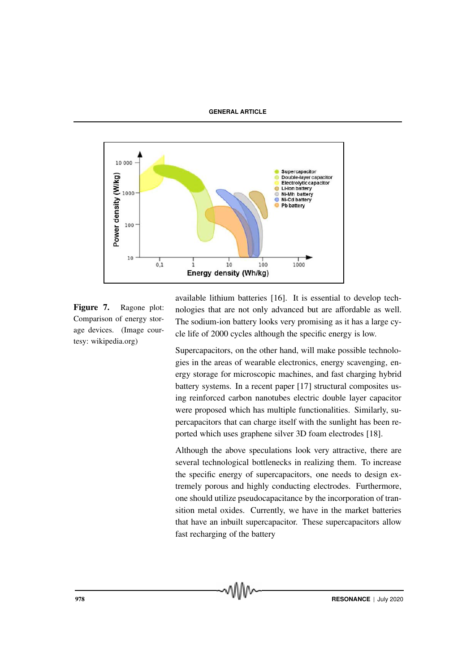

Figure 7. Ragone plot: Comparison of energy storage devices. (Image courtesy: wikipedia.org)

available lithium batteries [16]. It is essential to develop technologies that are not only advanced but are affordable as well. The sodium-ion battery looks very promising as it has a large cycle life of 2000 cycles although the specific energy is low.

Supercapacitors, on the other hand, will make possible technologies in the areas of wearable electronics, energy scavenging, energy storage for microscopic machines, and fast charging hybrid battery systems. In a recent paper [17] structural composites using reinforced carbon nanotubes electric double layer capacitor were proposed which has multiple functionalities. Similarly, supercapacitors that can charge itself with the sunlight has been reported which uses graphene silver 3D foam electrodes [18].

Although the above speculations look very attractive, there are several technological bottlenecks in realizing them. To increase the specific energy of supercapacitors, one needs to design extremely porous and highly conducting electrodes. Furthermore, one should utilize pseudocapacitance by the incorporation of transition metal oxides. Currently, we have in the market batteries that have an inbuilt supercapacitor. These supercapacitors allow fast recharging of the battery

**978 RESONANCE** | July 2020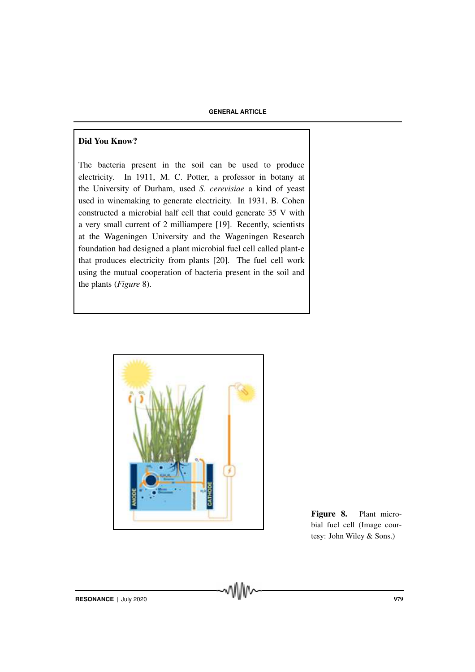# Did You Know?

The bacteria present in the soil can be used to produce electricity. In 1911, M. C. Potter, a professor in botany at the University of Durham, used *S. cerevisiae* a kind of yeast used in winemaking to generate electricity. In 1931, B. Cohen constructed a microbial half cell that could generate 35 V with a very small current of 2 milliampere [19]. Recently, scientists at the Wageningen University and the Wageningen Research foundation had designed a plant microbial fuel cell called plant-e that produces electricity from plants [20]. The fuel cell work using the mutual cooperation of bacteria present in the soil and the plants (*Figure* 8).



Figure 8. Plant microbial fuel cell (Image courtesy: John Wiley & Sons.)